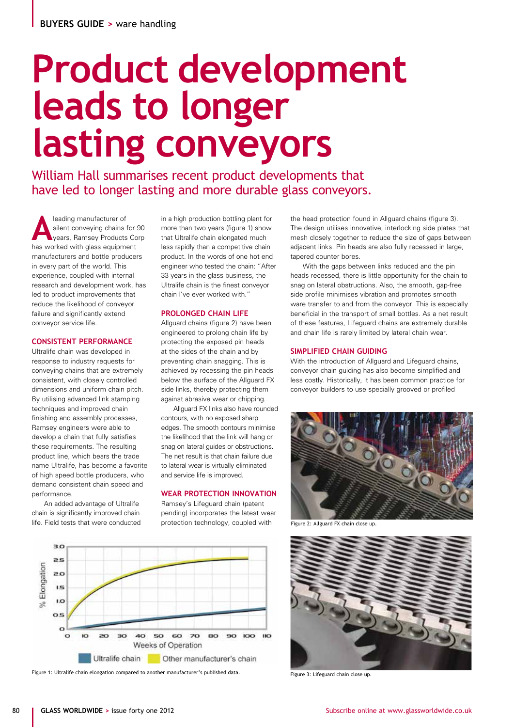# **Product development leads to longer lasting conveyors**

William Hall summarises recent product developments that have led to longer lasting and more durable glass conveyors.

**A**leading manufacturer of<br>silent conveying chains t<br>years, Ramsey Products<br>has worked with along outing silent conveying chains for 90 years, Ramsey Products Corp has worked with glass equipment manufacturers and bottle producers in every part of the world. This experience, coupled with internal research and development work, has led to product improvements that reduce the likelihood of conveyor failure and significantly extend conveyor service life.

# **CONSISTENT PERFORMANCE**

Ultralife chain was developed in response to industry requests for conveying chains that are extremely consistent, with closely controlled dimensions and uniform chain pitch. By utilising advanced link stamping techniques and improved chain finishing and assembly processes, Ramsey engineers were able to develop a chain that fully satisfies these requirements. The resulting product line, which bears the trade name Ultralife, has become a favorite of high speed bottle producers, who demand consistent chain speed and performance.

An added advantage of Ultralife chain is significantly improved chain life. Field tests that were conducted in a high production bottling plant for more than two years (figure 1) show that Ultralife chain elongated much less rapidly than a competitive chain product. In the words of one hot end engineer who tested the chain: "After 33 years in the glass business, the Ultralife chain is the finest conveyor chain I've ever worked with."

#### **PROLONGED CHAIN LIFE**

Allguard chains (figure 2) have been engineered to prolong chain life by protecting the exposed pin heads at the sides of the chain and by preventing chain snagging. This is achieved by recessing the pin heads below the surface of the Allguard FX side links, thereby protecting them against abrasive wear or chipping.

Allguard FX links also have rounded contours, with no exposed sharp edges. The smooth contours minimise the likelihood that the link will hang or snag on lateral guides or obstructions. The net result is that chain failure due to lateral wear is virtually eliminated and service life is improved.

# **WEAR PROTECTION INNOVATION**

Ramsey's Lifeguard chain (patent pending) incorporates the latest wear protection technology, coupled with



Figure 1: Ultralife chain elongation compared to another manufacturer's published data.

the head protection found in Allguard chains (figure 3). The design utilises innovative, interlocking side plates that mesh closely together to reduce the size of gaps between adjacent links. Pin heads are also fully recessed in large, tapered counter bores.

With the gaps between links reduced and the pin heads recessed, there is little opportunity for the chain to snag on lateral obstructions. Also, the smooth, gap-free side profile minimises vibration and promotes smooth ware transfer to and from the conveyor. This is especially beneficial in the transport of small bottles. As a net result of these features, Lifeguard chains are extremely durable and chain life is rarely limited by lateral chain wear.

#### **SIMPLIFIED CHAIN GUIDING**

With the introduction of Allguard and Lifeguard chains, conveyor chain guiding has also become simplified and less costly. Historically, it has been common practice for conveyor builders to use specially grooved or profiled



Figure 2: Allguard FX chain close up.



Figure 3: Lifeguard chain close up.